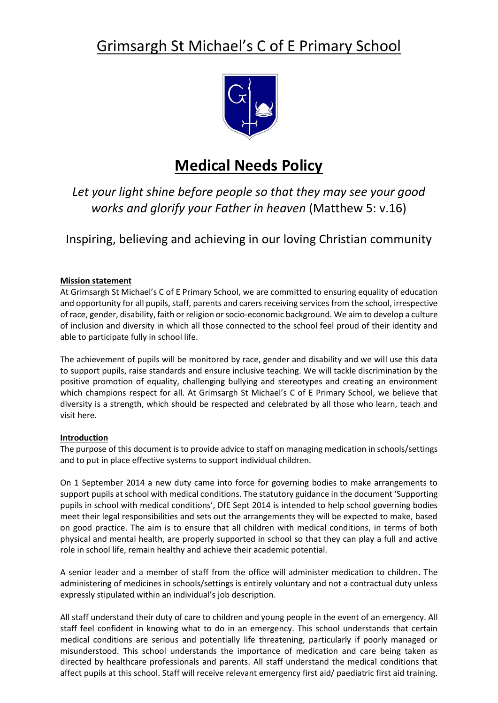# Grimsargh St Michael's C of E Primary School



## **Medical Needs Policy**

*Let your light shine before people so that they may see your good works and glorify your Father in heaven* (Matthew 5: v.16)

Inspiring, believing and achieving in our loving Christian community

### **Mission statement**

At Grimsargh St Michael's C of E Primary School, we are committed to ensuring equality of education and opportunity for all pupils, staff, parents and carers receiving services from the school, irrespective of race, gender, disability, faith or religion or socio-economic background. We aim to develop a culture of inclusion and diversity in which all those connected to the school feel proud of their identity and able to participate fully in school life.

The achievement of pupils will be monitored by race, gender and disability and we will use this data to support pupils, raise standards and ensure inclusive teaching. We will tackle discrimination by the positive promotion of equality, challenging bullying and stereotypes and creating an environment which champions respect for all. At Grimsargh St Michael's C of E Primary School, we believe that diversity is a strength, which should be respected and celebrated by all those who learn, teach and visit here.

#### **Introduction**

The purpose of this document is to provide advice to staff on managing medication in schools/settings and to put in place effective systems to support individual children.

On 1 September 2014 a new duty came into force for governing bodies to make arrangements to support pupils at school with medical conditions. The statutory guidance in the document 'Supporting pupils in school with medical conditions', DfE Sept 2014 is intended to help school governing bodies meet their legal responsibilities and sets out the arrangements they will be expected to make, based on good practice. The aim is to ensure that all children with medical conditions, in terms of both physical and mental health, are properly supported in school so that they can play a full and active role in school life, remain healthy and achieve their academic potential.

A senior leader and a member of staff from the office will administer medication to children. The administering of medicines in schools/settings is entirely voluntary and not a contractual duty unless expressly stipulated within an individual's job description.

All staff understand their duty of care to children and young people in the event of an emergency. All staff feel confident in knowing what to do in an emergency. This school understands that certain medical conditions are serious and potentially life threatening, particularly if poorly managed or misunderstood. This school understands the importance of medication and care being taken as directed by healthcare professionals and parents. All staff understand the medical conditions that affect pupils at this school. Staff will receive relevant emergency first aid/ paediatric first aid training.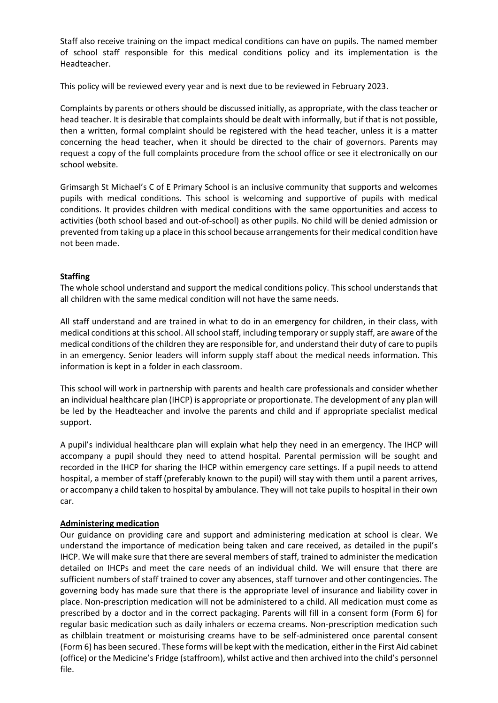Staff also receive training on the impact medical conditions can have on pupils. The named member of school staff responsible for this medical conditions policy and its implementation is the Headteacher.

This policy will be reviewed every year and is next due to be reviewed in February 2023.

Complaints by parents or others should be discussed initially, as appropriate, with the class teacher or head teacher. It is desirable that complaints should be dealt with informally, but if that is not possible, then a written, formal complaint should be registered with the head teacher, unless it is a matter concerning the head teacher, when it should be directed to the chair of governors. Parents may request a copy of the full complaints procedure from the school office or see it electronically on our school website.

Grimsargh St Michael's C of E Primary School is an inclusive community that supports and welcomes pupils with medical conditions. This school is welcoming and supportive of pupils with medical conditions. It provides children with medical conditions with the same opportunities and access to activities (both school based and out-of-school) as other pupils. No child will be denied admission or prevented from taking up a place in this school because arrangements for their medical condition have not been made.

#### **Staffing**

The whole school understand and support the medical conditions policy. This school understands that all children with the same medical condition will not have the same needs.

All staff understand and are trained in what to do in an emergency for children, in their class, with medical conditions at this school. All school staff, including temporary or supply staff, are aware of the medical conditions of the children they are responsible for, and understand their duty of care to pupils in an emergency. Senior leaders will inform supply staff about the medical needs information. This information is kept in a folder in each classroom.

This school will work in partnership with parents and health care professionals and consider whether an individual healthcare plan (IHCP) is appropriate or proportionate. The development of any plan will be led by the Headteacher and involve the parents and child and if appropriate specialist medical support.

A pupil's individual healthcare plan will explain what help they need in an emergency. The IHCP will accompany a pupil should they need to attend hospital. Parental permission will be sought and recorded in the IHCP for sharing the IHCP within emergency care settings. If a pupil needs to attend hospital, a member of staff (preferably known to the pupil) will stay with them until a parent arrives, or accompany a child taken to hospital by ambulance. They will not take pupils to hospital in their own car.

#### **Administering medication**

Our guidance on providing care and support and administering medication at school is clear. We understand the importance of medication being taken and care received, as detailed in the pupil's IHCP. We will make sure that there are several members of staff, trained to administer the medication detailed on IHCPs and meet the care needs of an individual child. We will ensure that there are sufficient numbers of staff trained to cover any absences, staff turnover and other contingencies. The governing body has made sure that there is the appropriate level of insurance and liability cover in place. Non-prescription medication will not be administered to a child. All medication must come as prescribed by a doctor and in the correct packaging. Parents will fill in a consent form (Form 6) for regular basic medication such as daily inhalers or eczema creams. Non-prescription medication such as chilblain treatment or moisturising creams have to be self-administered once parental consent (Form 6) has been secured. These forms will be kept with the medication, either in the First Aid cabinet (office) or the Medicine's Fridge (staffroom), whilst active and then archived into the child's personnel file.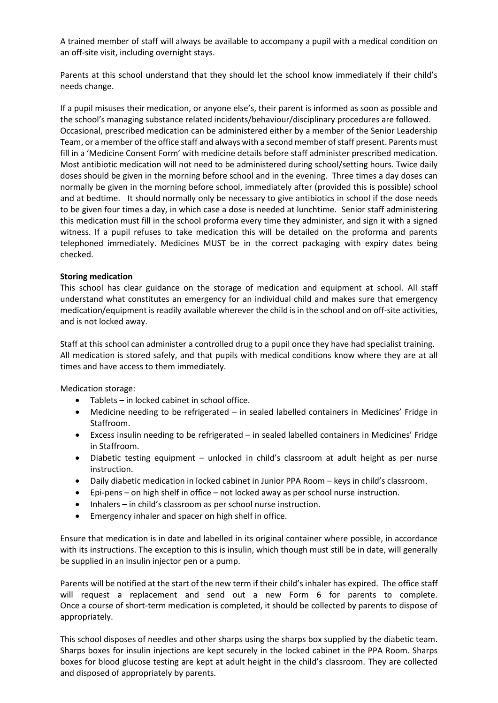A trained member of staff will always be available to accompany a pupil with a medical condition on an off-site visit, including overnight stays.

Parents at this school understand that they should let the school know immediately if their child's needs change.

If a pupil misuses their medication, or anyone else's, their parent is informed as soon as possible and the school's managing substance related incidents/behaviour/disciplinary procedures are followed. Occasional, prescribed medication can be administered either by a member of the Senior Leadership Team, or a member of the office staff and always with a second member of staff present. Parents must fill in a 'Medicine Consent Form' with medicine details before staff administer prescribed medication. Most antibiotic medication will not need to be administered during school/setting hours. Twice daily doses should be given in the morning before school and in the evening. Three times a day doses can normally be given in the morning before school, immediately after (provided this is possible) school and at bedtime. It should normally only be necessary to give antibiotics in school if the dose needs to be given four times a day, in which case a dose is needed at lunchtime. Senior staff administering this medication must fill in the school proforma every time they administer, and sign it with a signed witness. If a pupil refuses to take medication this will be detailed on the proforma and parents telephoned immediately. Medicines MUST be in the correct packaging with expiry dates being checked.

#### **Storing medication**

This school has clear guidance on the storage of medication and equipment at school. All staff understand what constitutes an emergency for an individual child and makes sure that emergency medication/equipment is readily available wherever the child is in the school and on off-site activities, and is not locked away.

Staff at this school can administer a controlled drug to a pupil once they have had specialist training. All medication is stored safely, and that pupils with medical conditions know where they are at all times and have access to them immediately.

Medication storage:

- Tablets in locked cabinet in school office.
- Medicine needing to be refrigerated in sealed labelled containers in Medicines' Fridge in Staffroom.
- Excess insulin needing to be refrigerated in sealed labelled containers in Medicines' Fridge in Staffroom.
- Diabetic testing equipment unlocked in child's classroom at adult height as per nurse instruction.
- Daily diabetic medication in locked cabinet in Junior PPA Room keys in child's classroom.
- Epi-pens on high shelf in office not locked away as per school nurse instruction.
- Inhalers in child's classroom as per school nurse instruction.
- Emergency inhaler and spacer on high shelf in office.

Ensure that medication is in date and labelled in its original container where possible, in accordance with its instructions. The exception to this is insulin, which though must still be in date, will generally be supplied in an insulin injector pen or a pump.

Parents will be notified at the start of the new term if their child's inhaler has expired. The office staff will request a replacement and send out a new Form 6 for parents to complete. Once a course of short-term medication is completed, it should be collected by parents to dispose of appropriately.

This school disposes of needles and other sharps using the sharps box supplied by the diabetic team. Sharps boxes for insulin injections are kept securely in the locked cabinet in the PPA Room. Sharps boxes for blood glucose testing are kept at adult height in the child's classroom. They are collected and disposed of appropriately by parents.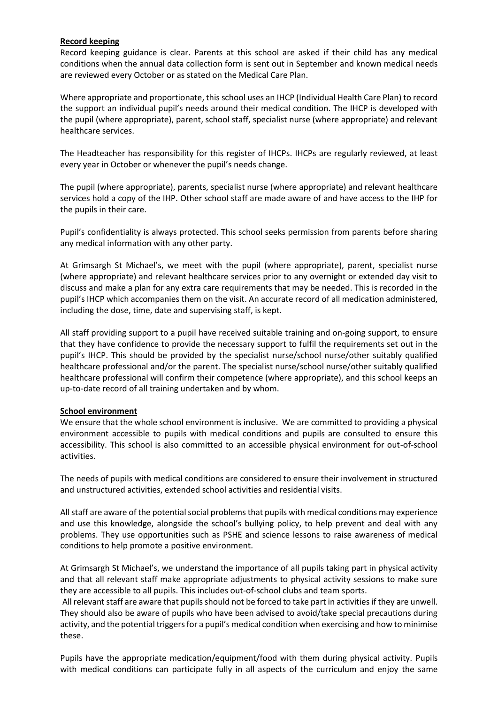#### **Record keeping**

Record keeping guidance is clear. Parents at this school are asked if their child has any medical conditions when the annual data collection form is sent out in September and known medical needs are reviewed every October or as stated on the Medical Care Plan.

Where appropriate and proportionate, this school uses an IHCP (Individual Health Care Plan) to record the support an individual pupil's needs around their medical condition. The IHCP is developed with the pupil (where appropriate), parent, school staff, specialist nurse (where appropriate) and relevant healthcare services.

The Headteacher has responsibility for this register of IHCPs. IHCPs are regularly reviewed, at least every year in October or whenever the pupil's needs change.

The pupil (where appropriate), parents, specialist nurse (where appropriate) and relevant healthcare services hold a copy of the IHP. Other school staff are made aware of and have access to the IHP for the pupils in their care.

Pupil's confidentiality is always protected. This school seeks permission from parents before sharing any medical information with any other party.

At Grimsargh St Michael's, we meet with the pupil (where appropriate), parent, specialist nurse (where appropriate) and relevant healthcare services prior to any overnight or extended day visit to discuss and make a plan for any extra care requirements that may be needed. This is recorded in the pupil's IHCP which accompanies them on the visit. An accurate record of all medication administered, including the dose, time, date and supervising staff, is kept.

All staff providing support to a pupil have received suitable training and on-going support, to ensure that they have confidence to provide the necessary support to fulfil the requirements set out in the pupil's IHCP. This should be provided by the specialist nurse/school nurse/other suitably qualified healthcare professional and/or the parent. The specialist nurse/school nurse/other suitably qualified healthcare professional will confirm their competence (where appropriate), and this school keeps an up-to-date record of all training undertaken and by whom.

#### **School environment**

We ensure that the whole school environment is inclusive. We are committed to providing a physical environment accessible to pupils with medical conditions and pupils are consulted to ensure this accessibility. This school is also committed to an accessible physical environment for out-of-school activities.

The needs of pupils with medical conditions are considered to ensure their involvement in structured and unstructured activities, extended school activities and residential visits.

All staff are aware of the potential social problems that pupils with medical conditions may experience and use this knowledge, alongside the school's bullying policy, to help prevent and deal with any problems. They use opportunities such as PSHE and science lessons to raise awareness of medical conditions to help promote a positive environment.

At Grimsargh St Michael's, we understand the importance of all pupils taking part in physical activity and that all relevant staff make appropriate adjustments to physical activity sessions to make sure they are accessible to all pupils. This includes out-of-school clubs and team sports.

All relevant staff are aware that pupils should not be forced to take part in activities if they are unwell. They should also be aware of pupils who have been advised to avoid/take special precautions during activity, and the potential triggers for a pupil's medical condition when exercising and how to minimise these.

Pupils have the appropriate medication/equipment/food with them during physical activity. Pupils with medical conditions can participate fully in all aspects of the curriculum and enjoy the same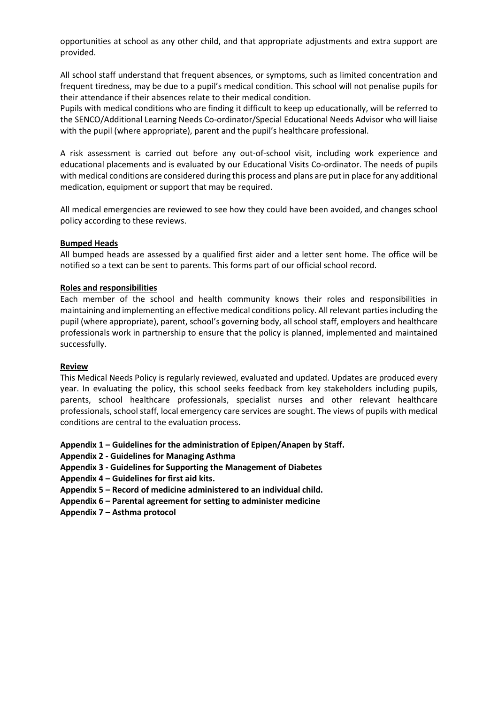opportunities at school as any other child, and that appropriate adjustments and extra support are provided.

All school staff understand that frequent absences, or symptoms, such as limited concentration and frequent tiredness, may be due to a pupil's medical condition. This school will not penalise pupils for their attendance if their absences relate to their medical condition.

Pupils with medical conditions who are finding it difficult to keep up educationally, will be referred to the SENCO/Additional Learning Needs Co-ordinator/Special Educational Needs Advisor who will liaise with the pupil (where appropriate), parent and the pupil's healthcare professional.

A risk assessment is carried out before any out-of-school visit, including work experience and educational placements and is evaluated by our Educational Visits Co-ordinator. The needs of pupils with medical conditions are considered during this process and plans are put in place for any additional medication, equipment or support that may be required.

All medical emergencies are reviewed to see how they could have been avoided, and changes school policy according to these reviews.

#### **Bumped Heads**

All bumped heads are assessed by a qualified first aider and a letter sent home. The office will be notified so a text can be sent to parents. This forms part of our official school record.

#### **Roles and responsibilities**

Each member of the school and health community knows their roles and responsibilities in maintaining and implementing an effective medical conditions policy. All relevant parties including the pupil (where appropriate), parent, school's governing body, all school staff, employers and healthcare professionals work in partnership to ensure that the policy is planned, implemented and maintained successfully.

#### **Review**

This Medical Needs Policy is regularly reviewed, evaluated and updated. Updates are produced every year. In evaluating the policy, this school seeks feedback from key stakeholders including pupils, parents, school healthcare professionals, specialist nurses and other relevant healthcare professionals, school staff, local emergency care services are sought. The views of pupils with medical conditions are central to the evaluation process.

- **Appendix 1 – Guidelines for the administration of Epipen/Anapen by Staff.**
- **Appendix 2 - Guidelines for Managing Asthma**
- **Appendix 3 - Guidelines for Supporting the Management of Diabetes**
- **Appendix 4 – Guidelines for first aid kits.**
- **Appendix 5 – Record of medicine administered to an individual child.**
- **Appendix 6 – Parental agreement for setting to administer medicine**
- **Appendix 7 – Asthma protocol**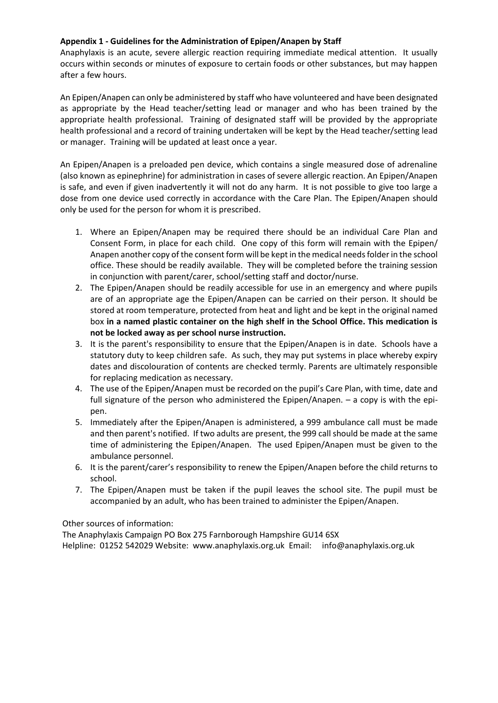#### **Appendix 1 - Guidelines for the Administration of Epipen/Anapen by Staff**

Anaphylaxis is an acute, severe allergic reaction requiring immediate medical attention. It usually occurs within seconds or minutes of exposure to certain foods or other substances, but may happen after a few hours.

An Epipen/Anapen can only be administered by staff who have volunteered and have been designated as appropriate by the Head teacher/setting lead or manager and who has been trained by the appropriate health professional. Training of designated staff will be provided by the appropriate health professional and a record of training undertaken will be kept by the Head teacher/setting lead or manager. Training will be updated at least once a year.

An Epipen/Anapen is a preloaded pen device, which contains a single measured dose of adrenaline (also known as epinephrine) for administration in cases of severe allergic reaction. An Epipen/Anapen is safe, and even if given inadvertently it will not do any harm. It is not possible to give too large a dose from one device used correctly in accordance with the Care Plan. The Epipen/Anapen should only be used for the person for whom it is prescribed.

- 1. Where an Epipen/Anapen may be required there should be an individual Care Plan and Consent Form, in place for each child. One copy of this form will remain with the Epipen/ Anapen another copy of the consent form will be kept in the medical needs folder in the school office. These should be readily available. They will be completed before the training session in conjunction with parent/carer, school/setting staff and doctor/nurse.
- 2. The Epipen/Anapen should be readily accessible for use in an emergency and where pupils are of an appropriate age the Epipen/Anapen can be carried on their person. It should be stored at room temperature, protected from heat and light and be kept in the original named box **in a named plastic container on the high shelf in the School Office. This medication is not be locked away as per school nurse instruction.**
- 3. It is the parent's responsibility to ensure that the Epipen/Anapen is in date. Schools have a statutory duty to keep children safe. As such, they may put systems in place whereby expiry dates and discolouration of contents are checked termly. Parents are ultimately responsible for replacing medication as necessary.
- 4. The use of the Epipen/Anapen must be recorded on the pupil's Care Plan, with time, date and full signature of the person who administered the Epipen/Anapen. – a copy is with the epipen.
- 5. Immediately after the Epipen/Anapen is administered, a 999 ambulance call must be made and then parent's notified. If two adults are present, the 999 call should be made at the same time of administering the Epipen/Anapen. The used Epipen/Anapen must be given to the ambulance personnel.
- 6. It is the parent/carer's responsibility to renew the Epipen/Anapen before the child returns to school.
- 7. The Epipen/Anapen must be taken if the pupil leaves the school site. The pupil must be accompanied by an adult, who has been trained to administer the Epipen/Anapen.

Other sources of information:

The Anaphylaxis Campaign PO Box 275 Farnborough Hampshire GU14 6SX Helpline: 01252 542029 Website: www.anaphylaxis.org.uk Email: info@anaphylaxis.org.uk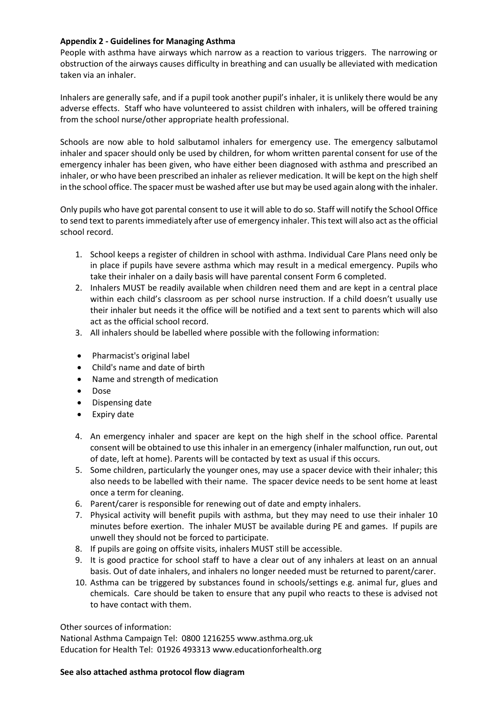#### **Appendix 2 - Guidelines for Managing Asthma**

People with asthma have airways which narrow as a reaction to various triggers. The narrowing or obstruction of the airways causes difficulty in breathing and can usually be alleviated with medication taken via an inhaler.

Inhalers are generally safe, and if a pupil took another pupil's inhaler, it is unlikely there would be any adverse effects. Staff who have volunteered to assist children with inhalers, will be offered training from the school nurse/other appropriate health professional.

Schools are now able to hold salbutamol inhalers for emergency use. The emergency salbutamol inhaler and spacer should only be used by children, for whom written parental consent for use of the emergency inhaler has been given, who have either been diagnosed with asthma and prescribed an inhaler, or who have been prescribed an inhaler as reliever medication. It will be kept on the high shelf in the school office. The spacer must be washed after use but may be used again along with the inhaler.

Only pupils who have got parental consent to use it will able to do so. Staff will notify the School Office to send text to parents immediately after use of emergency inhaler. This text will also act as the official school record.

- 1. School keeps a register of children in school with asthma. Individual Care Plans need only be in place if pupils have severe asthma which may result in a medical emergency. Pupils who take their inhaler on a daily basis will have parental consent Form 6 completed.
- 2. Inhalers MUST be readily available when children need them and are kept in a central place within each child's classroom as per school nurse instruction. If a child doesn't usually use their inhaler but needs it the office will be notified and a text sent to parents which will also act as the official school record.
- 3. All inhalers should be labelled where possible with the following information:
- Pharmacist's original label
- Child's name and date of birth
- Name and strength of medication
- Dose
- Dispensing date
- Expiry date
- 4. An emergency inhaler and spacer are kept on the high shelf in the school office. Parental consent will be obtained to use this inhaler in an emergency (inhaler malfunction, run out, out of date, left at home). Parents will be contacted by text as usual if this occurs.
- 5. Some children, particularly the younger ones, may use a spacer device with their inhaler; this also needs to be labelled with their name. The spacer device needs to be sent home at least once a term for cleaning.
- 6. Parent/carer is responsible for renewing out of date and empty inhalers.
- 7. Physical activity will benefit pupils with asthma, but they may need to use their inhaler 10 minutes before exertion. The inhaler MUST be available during PE and games. If pupils are unwell they should not be forced to participate.
- 8. If pupils are going on offsite visits, inhalers MUST still be accessible.
- 9. It is good practice for school staff to have a clear out of any inhalers at least on an annual basis. Out of date inhalers, and inhalers no longer needed must be returned to parent/carer.
- 10. Asthma can be triggered by substances found in schools/settings e.g. animal fur, glues and chemicals. Care should be taken to ensure that any pupil who reacts to these is advised not to have contact with them.

Other sources of information:

National Asthma Campaign Tel: 0800 1216255 www.asthma.org.uk Education for Health Tel: 01926 493313 www.educationforhealth.org

#### **See also attached asthma protocol flow diagram**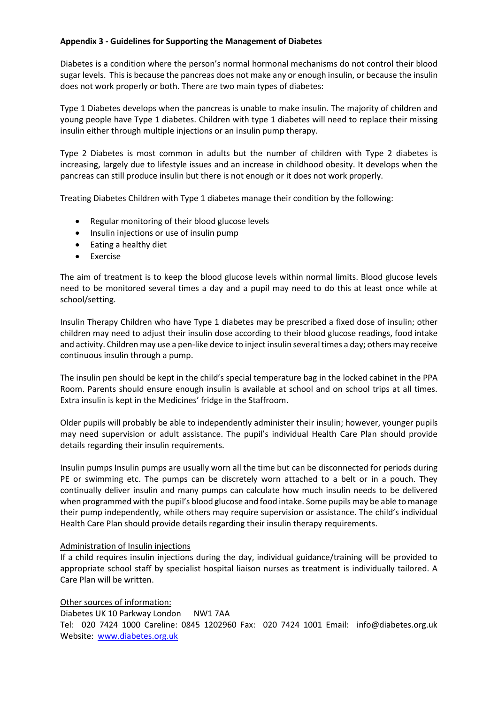#### **Appendix 3 - Guidelines for Supporting the Management of Diabetes**

Diabetes is a condition where the person's normal hormonal mechanisms do not control their blood sugar levels. This is because the pancreas does not make any or enough insulin, or because the insulin does not work properly or both. There are two main types of diabetes:

Type 1 Diabetes develops when the pancreas is unable to make insulin. The majority of children and young people have Type 1 diabetes. Children with type 1 diabetes will need to replace their missing insulin either through multiple injections or an insulin pump therapy.

Type 2 Diabetes is most common in adults but the number of children with Type 2 diabetes is increasing, largely due to lifestyle issues and an increase in childhood obesity. It develops when the pancreas can still produce insulin but there is not enough or it does not work properly.

Treating Diabetes Children with Type 1 diabetes manage their condition by the following:

- Regular monitoring of their blood glucose levels
- Insulin injections or use of insulin pump
- Eating a healthy diet
- Exercise

The aim of treatment is to keep the blood glucose levels within normal limits. Blood glucose levels need to be monitored several times a day and a pupil may need to do this at least once while at school/setting.

Insulin Therapy Children who have Type 1 diabetes may be prescribed a fixed dose of insulin; other children may need to adjust their insulin dose according to their blood glucose readings, food intake and activity. Children may use a pen-like device to inject insulin several times a day; others may receive continuous insulin through a pump.

The insulin pen should be kept in the child's special temperature bag in the locked cabinet in the PPA Room. Parents should ensure enough insulin is available at school and on school trips at all times. Extra insulin is kept in the Medicines' fridge in the Staffroom.

Older pupils will probably be able to independently administer their insulin; however, younger pupils may need supervision or adult assistance. The pupil's individual Health Care Plan should provide details regarding their insulin requirements.

Insulin pumps Insulin pumps are usually worn all the time but can be disconnected for periods during PE or swimming etc. The pumps can be discretely worn attached to a belt or in a pouch. They continually deliver insulin and many pumps can calculate how much insulin needs to be delivered when programmed with the pupil's blood glucose and food intake. Some pupils may be able to manage their pump independently, while others may require supervision or assistance. The child's individual Health Care Plan should provide details regarding their insulin therapy requirements.

#### Administration of Insulin injections

If a child requires insulin injections during the day, individual guidance/training will be provided to appropriate school staff by specialist hospital liaison nurses as treatment is individually tailored. A Care Plan will be written.

Other sources of information: Diabetes UK 10 Parkway London NW1 7AA Tel: 020 7424 1000 Careline: 0845 1202960 Fax: 020 7424 1001 Email: info@diabetes.org.uk Website: [www.diabetes.org.uk](http://www.diabetes.org.uk/)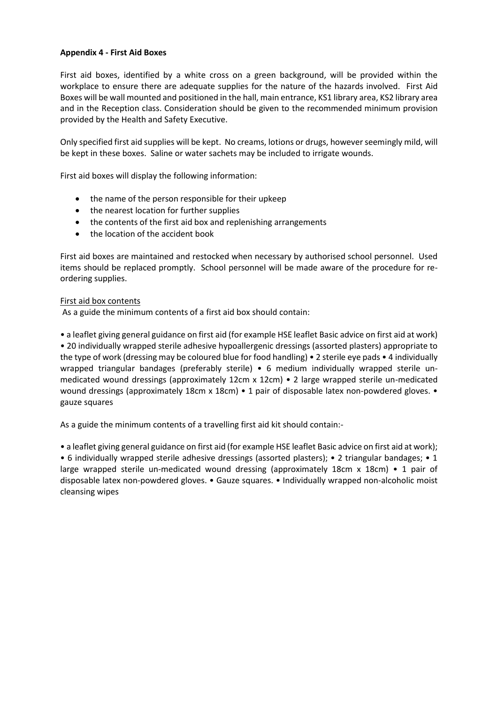#### **Appendix 4 - First Aid Boxes**

First aid boxes, identified by a white cross on a green background, will be provided within the workplace to ensure there are adequate supplies for the nature of the hazards involved. First Aid Boxes will be wall mounted and positioned in the hall, main entrance, KS1 library area, KS2 library area and in the Reception class. Consideration should be given to the recommended minimum provision provided by the Health and Safety Executive.

Only specified first aid supplies will be kept. No creams, lotions or drugs, however seemingly mild, will be kept in these boxes. Saline or water sachets may be included to irrigate wounds.

First aid boxes will display the following information:

- the name of the person responsible for their upkeep
- the nearest location for further supplies
- the contents of the first aid box and replenishing arrangements
- the location of the accident book

First aid boxes are maintained and restocked when necessary by authorised school personnel. Used items should be replaced promptly. School personnel will be made aware of the procedure for reordering supplies.

#### First aid box contents

As a guide the minimum contents of a first aid box should contain:

• a leaflet giving general guidance on first aid (for example HSE leaflet Basic advice on first aid at work) • 20 individually wrapped sterile adhesive hypoallergenic dressings (assorted plasters) appropriate to the type of work (dressing may be coloured blue for food handling) • 2 sterile eye pads • 4 individually wrapped triangular bandages (preferably sterile) • 6 medium individually wrapped sterile un-

medicated wound dressings (approximately 12cm x 12cm) • 2 large wrapped sterile un-medicated wound dressings (approximately 18cm x 18cm) • 1 pair of disposable latex non-powdered gloves. • gauze squares

As a guide the minimum contents of a travelling first aid kit should contain:-

• a leaflet giving general guidance on first aid (for example HSE leaflet Basic advice on first aid at work);

• 6 individually wrapped sterile adhesive dressings (assorted plasters); • 2 triangular bandages; • 1 large wrapped sterile un-medicated wound dressing (approximately 18cm x 18cm) • 1 pair of disposable latex non-powdered gloves. • Gauze squares. • Individually wrapped non-alcoholic moist cleansing wipes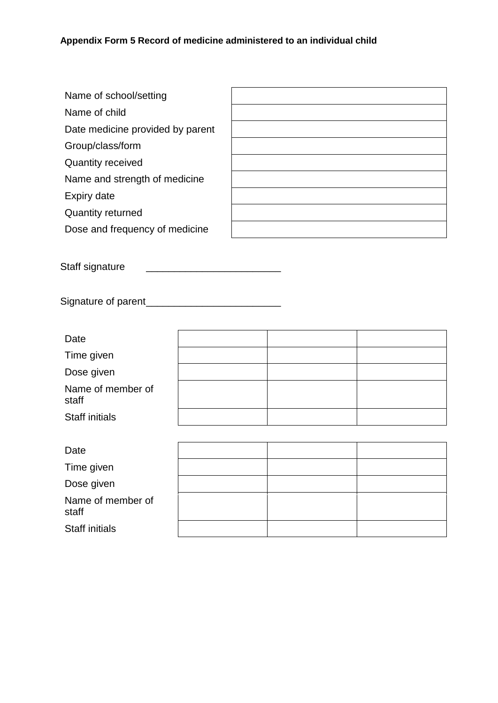| Name of school/setting           |  |
|----------------------------------|--|
| Name of child                    |  |
| Date medicine provided by parent |  |
| Group/class/form                 |  |
| <b>Quantity received</b>         |  |
| Name and strength of medicine    |  |
| Expiry date                      |  |
| <b>Quantity returned</b>         |  |
| Dose and frequency of medicine   |  |

Staff signature \_\_\_\_\_\_\_\_\_\_\_\_\_\_\_\_\_\_\_\_\_\_\_\_

Signature of parent\_\_\_\_\_\_\_\_\_\_\_\_\_\_\_\_\_\_\_\_\_\_\_\_

| Date                       |  |  |
|----------------------------|--|--|
| Time given                 |  |  |
| Dose given                 |  |  |
| Name of member of<br>staff |  |  |
| <b>Staff initials</b>      |  |  |
|                            |  |  |
| Date                       |  |  |
| Time given                 |  |  |
| Dose given                 |  |  |
| Name of member of<br>staff |  |  |

Staff initials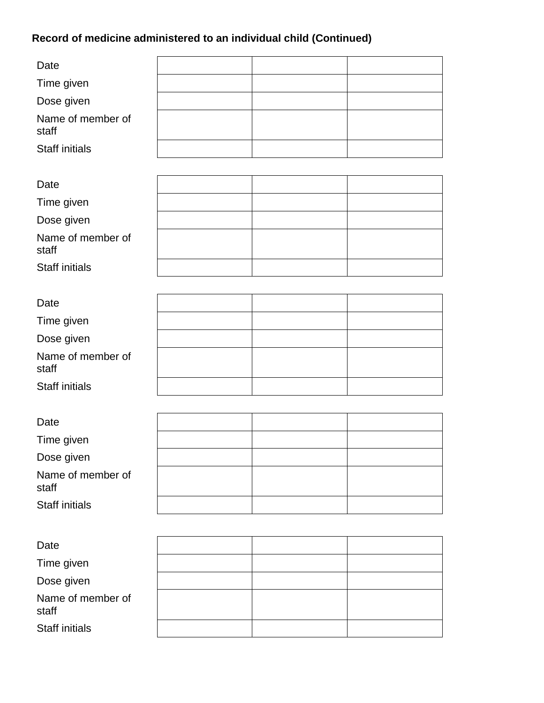## **Record of medicine administered to an individual child (Continued)**

| Date                       |  |  |
|----------------------------|--|--|
| Time given                 |  |  |
| Dose given                 |  |  |
| Name of member of<br>staff |  |  |
| <b>Staff initials</b>      |  |  |
|                            |  |  |
| Date                       |  |  |
| Time given                 |  |  |
| Dose given                 |  |  |
| Name of member of<br>staff |  |  |
| <b>Staff initials</b>      |  |  |
|                            |  |  |
| Date                       |  |  |
| Time given                 |  |  |
| Dose given                 |  |  |
| Name of member of<br>staff |  |  |
| Staff initials             |  |  |
|                            |  |  |
| Date                       |  |  |
| Time given                 |  |  |
| Dose given                 |  |  |
| Name of member of<br>staff |  |  |
| <b>Staff initials</b>      |  |  |
|                            |  |  |
| Date                       |  |  |
| Time given                 |  |  |
| Dose given                 |  |  |
| Name of member of<br>staff |  |  |
| Staff initials             |  |  |